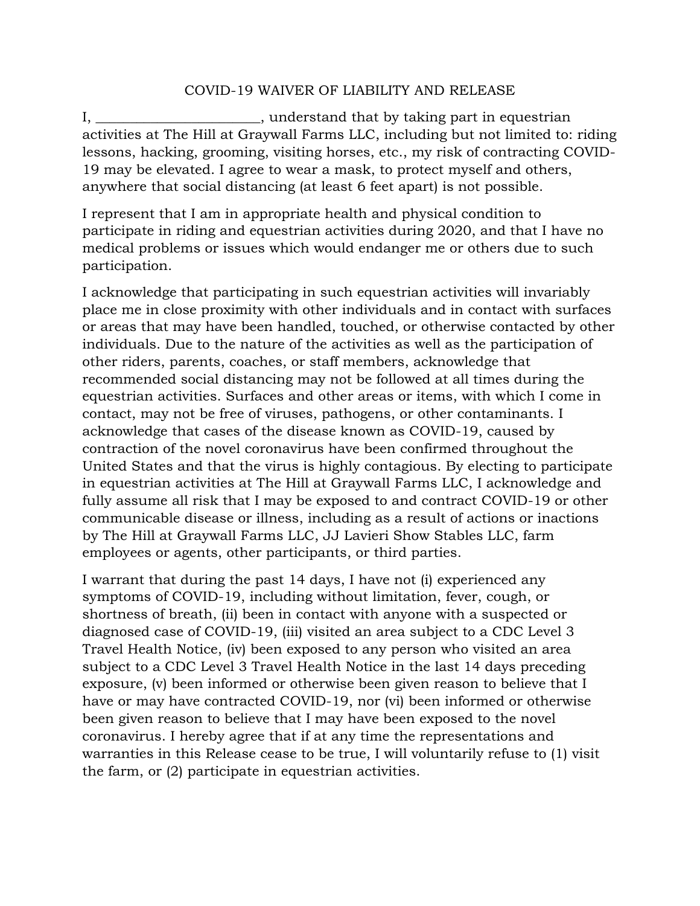## COVID-19 WAIVER OF LIABILITY AND RELEASE

I, \_\_\_\_\_\_\_\_\_\_\_\_\_\_\_\_\_\_\_\_\_\_\_, understand that by taking part in equestrian activities at The Hill at Graywall Farms LLC, including but not limited to: riding lessons, hacking, grooming, visiting horses, etc., my risk of contracting COVID-19 may be elevated. I agree to wear a mask, to protect myself and others, anywhere that social distancing (at least 6 feet apart) is not possible.

I represent that I am in appropriate health and physical condition to participate in riding and equestrian activities during 2020, and that I have no medical problems or issues which would endanger me or others due to such participation.

I acknowledge that participating in such equestrian activities will invariably place me in close proximity with other individuals and in contact with surfaces or areas that may have been handled, touched, or otherwise contacted by other individuals. Due to the nature of the activities as well as the participation of other riders, parents, coaches, or staff members, acknowledge that recommended social distancing may not be followed at all times during the equestrian activities. Surfaces and other areas or items, with which I come in contact, may not be free of viruses, pathogens, or other contaminants. I acknowledge that cases of the disease known as COVID-19, caused by contraction of the novel coronavirus have been confirmed throughout the United States and that the virus is highly contagious. By electing to participate in equestrian activities at The Hill at Graywall Farms LLC, I acknowledge and fully assume all risk that I may be exposed to and contract COVID-19 or other communicable disease or illness, including as a result of actions or inactions by The Hill at Graywall Farms LLC, JJ Lavieri Show Stables LLC, farm employees or agents, other participants, or third parties.

I warrant that during the past 14 days, I have not (i) experienced any symptoms of COVID-19, including without limitation, fever, cough, or shortness of breath, (ii) been in contact with anyone with a suspected or diagnosed case of COVID-19, (iii) visited an area subject to a CDC Level 3 Travel Health Notice, (iv) been exposed to any person who visited an area subject to a CDC Level 3 Travel Health Notice in the last 14 days preceding exposure, (v) been informed or otherwise been given reason to believe that I have or may have contracted COVID-19, nor (vi) been informed or otherwise been given reason to believe that I may have been exposed to the novel coronavirus. I hereby agree that if at any time the representations and warranties in this Release cease to be true, I will voluntarily refuse to (1) visit the farm, or (2) participate in equestrian activities.